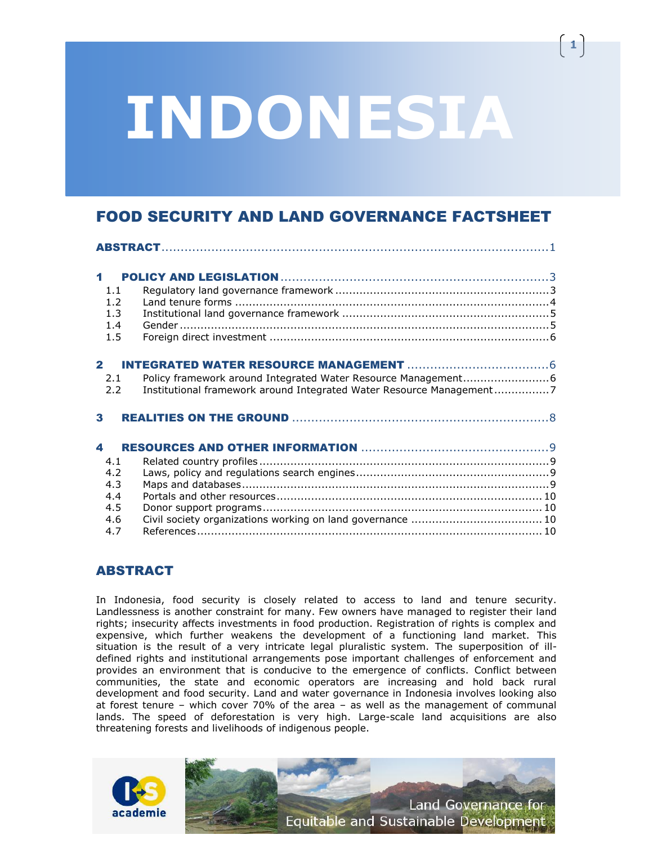# **INDONESIA**

**1**

# FOOD SECURITY AND LAND GOVERNANCE FACTSHEET

| $\blacktriangleleft$ |            |                                                                      |  |  |  |  |
|----------------------|------------|----------------------------------------------------------------------|--|--|--|--|
|                      | 1.1        |                                                                      |  |  |  |  |
|                      | 1.2        |                                                                      |  |  |  |  |
| 1.3                  |            |                                                                      |  |  |  |  |
|                      | 1.4<br>1.5 |                                                                      |  |  |  |  |
|                      |            |                                                                      |  |  |  |  |
| $\mathbf{2}$         |            |                                                                      |  |  |  |  |
|                      | 2.1        |                                                                      |  |  |  |  |
|                      | 2.2        | Institutional framework around Integrated Water Resource Management7 |  |  |  |  |
| 3                    |            |                                                                      |  |  |  |  |
| $\blacktriangle$     |            |                                                                      |  |  |  |  |
|                      | 4.1        |                                                                      |  |  |  |  |
|                      | 4.2        |                                                                      |  |  |  |  |
|                      | 4.3        |                                                                      |  |  |  |  |
|                      | 4.4        |                                                                      |  |  |  |  |
|                      | 4.5        |                                                                      |  |  |  |  |
|                      | 4.6        |                                                                      |  |  |  |  |
|                      | 4.7        |                                                                      |  |  |  |  |

# <span id="page-0-0"></span>ABSTRACT

In Indonesia, food security is closely related to access to land and tenure security. Landlessness is another constraint for many. Few owners have managed to register their land rights; insecurity affects investments in food production. Registration of rights is complex and expensive, which further weakens the development of a functioning land market. This situation is the result of a very intricate legal pluralistic system. The superposition of illdefined rights and institutional arrangements pose important challenges of enforcement and provides an environment that is conducive to the emergence of conflicts. Conflict between communities, the state and economic operators are increasing and hold back rural development and food security. Land and water governance in Indonesia involves looking also at forest tenure – which cover 70% of the area – as well as the management of communal lands. The speed of deforestation is very high. Large-scale land acquisitions are also threatening forests and livelihoods of indigenous people.

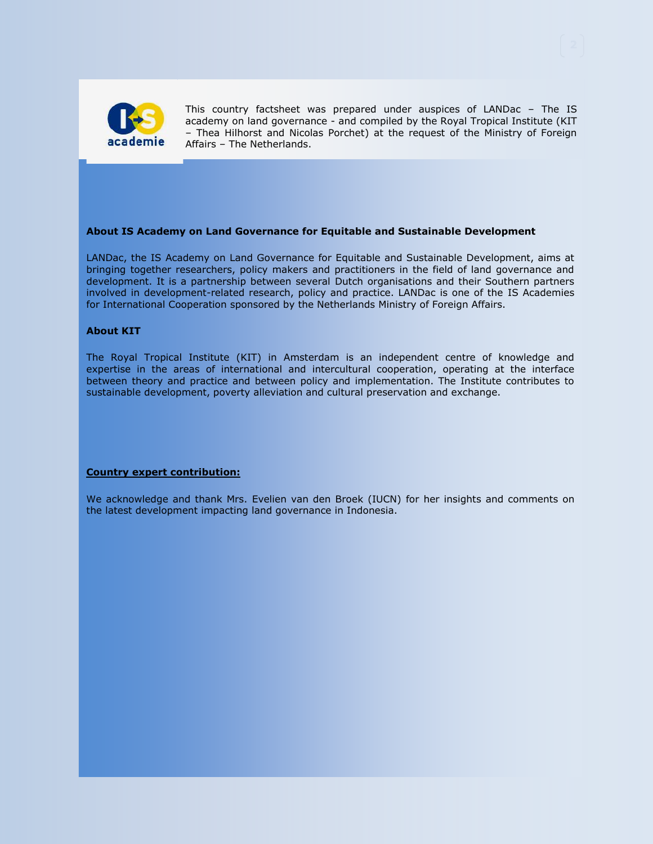

This country factsheet was prepared under auspices of LANDac – The IS academy on land governance - and compiled by the Royal Tropical Institute (KIT – Thea Hilhorst and Nicolas Porchet) at the request of the Ministry of Foreign Affairs – The Netherlands.

#### **About IS Academy on Land Governance for Equitable and Sustainable Development**

LANDac, the IS Academy on Land Governance for Equitable and Sustainable Development, aims at bringing together researchers, policy makers and practitioners in the field of land governance and development. It is a partnership between several Dutch organisations and their Southern partners involved in development-related research, policy and practice. LANDac is one of the [IS Academies](http://www.minbuza.nl/nl/Onderwerpen/Kennis_en_armoedebestrijding/IS_Academie)  [for International Cooperation](http://www.minbuza.nl/nl/Onderwerpen/Kennis_en_armoedebestrijding/IS_Academie) sponsored by the Netherlands Ministry of Foreign Affairs.

#### **About KIT**

The Royal Tropical Institute (KIT) in Amsterdam is an independent centre of knowledge and expertise in the areas of international and intercultural cooperation, operating at the interface between theory and practice and between policy and implementation. The Institute contributes to sustainable development, poverty alleviation and cultural preservation and exchange.

#### **Country expert contribution:**

We acknowledge and thank Mrs. Evelien van den Broek (IUCN) for her insights and comments on the latest development impacting land governance in Indonesia.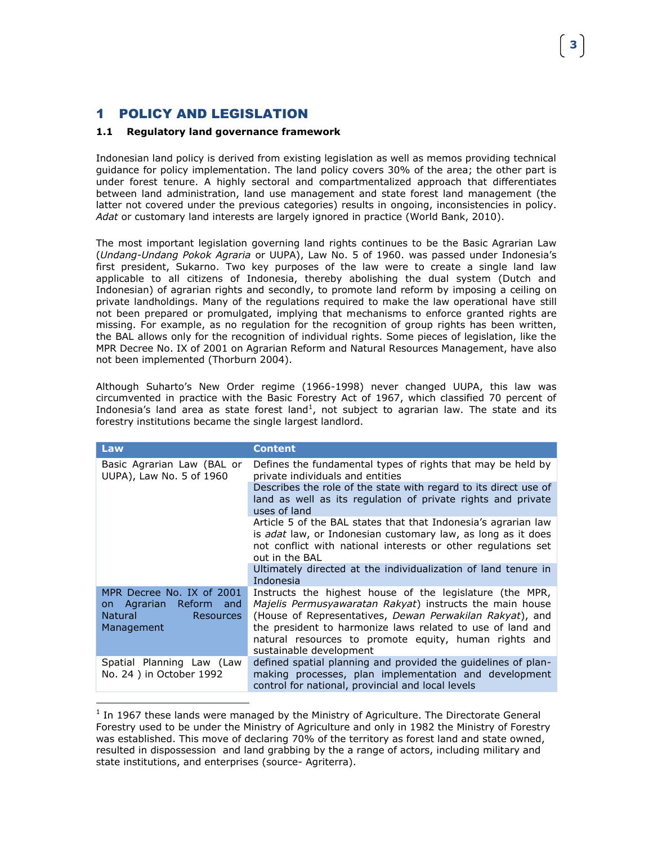# <span id="page-2-0"></span>1 POLICY AND LEGISLATION

 $\overline{a}$ 

#### <span id="page-2-1"></span>**1.1 Regulatory land governance framework**

Indonesian land policy is derived from existing legislation as well as memos providing technical guidance for policy implementation. The land policy covers 30% of the area; the other part is under forest tenure. A highly sectoral and compartmentalized approach that differentiates between land administration, land use management and state forest land management (the latter not covered under the previous categories) results in ongoing, inconsistencies in policy. *Adat* or customary land interests are largely ignored in practice (World Bank, 2010).

The most important legislation governing land rights continues to be the Basic Agrarian Law (*Undang-Undang Pokok Agraria* or UUPA), Law No. 5 of 1960. was passed under Indonesia's first president, Sukarno. Two key purposes of the law were to create a single land law applicable to all citizens of Indonesia, thereby abolishing the dual system (Dutch and Indonesian) of agrarian rights and secondly, to promote land reform by imposing a ceiling on private landholdings. Many of the regulations required to make the law operational have still not been prepared or promulgated, implying that mechanisms to enforce granted rights are missing. For example, as no regulation for the recognition of group rights has been written, the BAL allows only for the recognition of individual rights. Some pieces of legislation, like the MPR Decree No. IX of 2001 on Agrarian Reform and Natural Resources Management, have also not been implemented (Thorburn 2004).

Although Suharto's New Order regime (1966-1998) never changed UUPA, this law was circumvented in practice with the Basic Forestry Act of 1967, which classified 70 percent of Indonesia's land area as state forest land<sup>1</sup>, not subject to agrarian law. The state and its forestry institutions became the single largest landlord.

| Law                                                                                                            | <b>Content</b>                                                                                                                                                                                                                                                                                                                             |
|----------------------------------------------------------------------------------------------------------------|--------------------------------------------------------------------------------------------------------------------------------------------------------------------------------------------------------------------------------------------------------------------------------------------------------------------------------------------|
| Basic Agrarian Law (BAL or<br>UUPA), Law No. 5 of 1960                                                         | Defines the fundamental types of rights that may be held by<br>private individuals and entities                                                                                                                                                                                                                                            |
|                                                                                                                | Describes the role of the state with regard to its direct use of<br>land as well as its regulation of private rights and private<br>uses of land                                                                                                                                                                                           |
|                                                                                                                | Article 5 of the BAL states that that Indonesia's agrarian law<br>is <i>adat</i> law, or Indonesian customary law, as long as it does<br>not conflict with national interests or other regulations set<br>out in the BAL                                                                                                                   |
|                                                                                                                | Ultimately directed at the individualization of land tenure in<br>Indonesia                                                                                                                                                                                                                                                                |
| MPR Decree No. IX of 2001<br>Agrarian Reform<br>and<br>on.<br><b>Natural</b><br><b>Resources</b><br>Management | Instructs the highest house of the legislature (the MPR,<br><i>Majelis Permusyawaratan Rakyat</i> ) instructs the main house<br>(House of Representatives, Dewan Perwakilan Rakyat), and<br>the president to harmonize laws related to use of land and<br>natural resources to promote equity, human rights and<br>sustainable development |
| Spatial Planning Law (Law<br>No. 24 ) in October 1992                                                          | defined spatial planning and provided the quidelines of plan-<br>making processes, plan implementation and development<br>control for national, provincial and local levels                                                                                                                                                                |

 $<sup>1</sup>$  In 1967 these lands were managed by the Ministry of Agriculture. The Directorate General</sup> Forestry used to be under the Ministry of Agriculture and only in 1982 the Ministry of Forestry was established. This move of declaring 70% of the territory as forest land and state owned, resulted in dispossession and land grabbing by the a range of actors, including military and state institutions, and enterprises (source- Agriterra).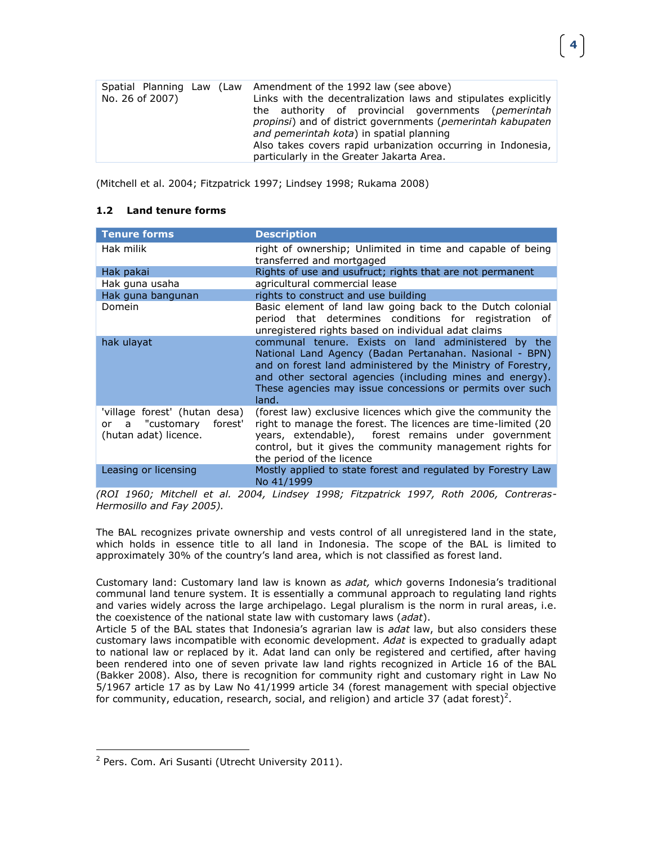|                 | Spatial Planning Law (Law Amendment of the 1992 law (see above)             |
|-----------------|-----------------------------------------------------------------------------|
| No. 26 of 2007) | Links with the decentralization laws and stipulates explicitly              |
|                 | the authority of provincial governments ( <i>pemerintah</i>                 |
|                 | <i>propinsi</i> ) and of district governments ( <i>pemerintah kabupaten</i> |
|                 | and pemerintah kota) in spatial planning                                    |
|                 | Also takes covers rapid urbanization occurring in Indonesia,                |
|                 | particularly in the Greater Jakarta Area.                                   |

(Mitchell et al. 2004; Fitzpatrick 1997; Lindsey 1998; Rukama 2008)

#### <span id="page-3-0"></span>**1.2 Land tenure forms**

| <b>Tenure forms</b>                                                               | <b>Description</b>                                                                                                                                                                                                                                                                                                |
|-----------------------------------------------------------------------------------|-------------------------------------------------------------------------------------------------------------------------------------------------------------------------------------------------------------------------------------------------------------------------------------------------------------------|
| Hak milik                                                                         | right of ownership; Unlimited in time and capable of being<br>transferred and mortgaged                                                                                                                                                                                                                           |
| Hak pakai                                                                         | Rights of use and usufruct; rights that are not permanent                                                                                                                                                                                                                                                         |
| Hak guna usaha                                                                    | agricultural commercial lease                                                                                                                                                                                                                                                                                     |
| Hak guna bangunan                                                                 | rights to construct and use building                                                                                                                                                                                                                                                                              |
| Domein                                                                            | Basic element of land law going back to the Dutch colonial<br>period that determines conditions for registration of<br>unregistered rights based on individual adat claims                                                                                                                                        |
| hak ulayat                                                                        | communal tenure. Exists on land administered by the<br>National Land Agency (Badan Pertanahan. Nasional - BPN)<br>and on forest land administered by the Ministry of Forestry,<br>and other sectoral agencies (including mines and energy).<br>These agencies may issue concessions or permits over such<br>land. |
| 'village forest' (hutan desa)<br>or a "customary forest'<br>(hutan adat) licence. | (forest law) exclusive licences which give the community the<br>right to manage the forest. The licences are time-limited (20<br>years, extendable), forest remains under government<br>control, but it gives the community management rights for<br>the period of the licence                                    |
| Leasing or licensing                                                              | Mostly applied to state forest and regulated by Forestry Law<br>No 41/1999                                                                                                                                                                                                                                        |

*(ROI 1960; Mitchell et al. 2004, Lindsey 1998; Fitzpatrick 1997, Roth 2006, Contreras-Hermosillo and Fay 2005).*

The BAL recognizes private ownership and vests control of all unregistered land in the state, which holds in essence title to all land in Indonesia. The scope of the BAL is limited to approximately 30% of the country's land area, which is not classified as forest land.

Customary land: Customary land law is known as *adat,* whic*h* governs Indonesia's traditional communal land tenure system. It is essentially a communal approach to regulating land rights and varies widely across the large archipelago. Legal pluralism is the norm in rural areas, i.e. the coexistence of the national state law with customary laws (*adat*).

Article 5 of the BAL states that Indonesia's agrarian law is *adat* law, but also considers these customary laws incompatible with economic development. *Adat* is expected to gradually adapt to national law or replaced by it. Adat land can only be registered and certified, after having been rendered into one of seven private law land rights recognized in Article 16 of the BAL (Bakker 2008). Also, there is recognition for community right and customary right in Law No 5/1967 article 17 as by Law No 41/1999 article 34 (forest management with special objective for community, education, research, social, and religion) and article 37 (adat forest)<sup>2</sup>.

 $\overline{a}$ 

<sup>&</sup>lt;sup>2</sup> Pers. Com. Ari Susanti (Utrecht University 2011).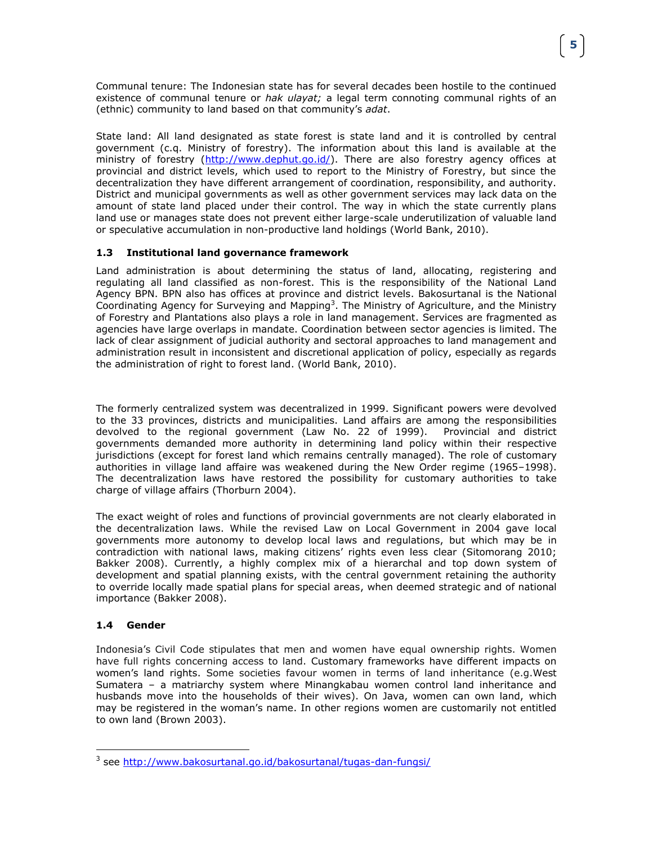Communal tenure: The Indonesian state has for several decades been hostile to the continued existence of communal tenure or *hak ulayat;* a legal term connoting communal rights of an (ethnic) community to land based on that community's *adat*.

State land: All land designated as state forest is state land and it is controlled by central government (c.q. Ministry of forestry). The information about this land is available at the ministry of forestry (http://www.dephut.qo.id/). There are also forestry agency offices at provincial and district levels, which used to report to the Ministry of Forestry, but since the decentralization they have different arrangement of coordination, responsibility, and authority. District and municipal governments as well as other government services may lack data on the amount of state land placed under their control. The way in which the state currently plans land use or manages state does not prevent either large-scale underutilization of valuable land or speculative accumulation in non-productive land holdings (World Bank, 2010).

#### <span id="page-4-0"></span>**1.3 Institutional land governance framework**

Land administration is about determining the status of land, allocating, registering and regulating all land classified as non-forest. This is the responsibility of the National Land Agency BPN. BPN also has offices at province and district levels. Bakosurtanal is the National Coordinating Agency for Surveying and Mapping<sup>3</sup>. The Ministry of Agriculture, and the Ministry of Forestry and Plantations also plays a role in land management. Services are fragmented as agencies have large overlaps in mandate. Coordination between sector agencies is limited. The lack of clear assignment of judicial authority and sectoral approaches to land management and administration result in inconsistent and discretional application of policy, especially as regards the administration of right to forest land. (World Bank, 2010).

The formerly centralized system was decentralized in 1999. Significant powers were devolved to the 33 provinces, districts and municipalities. Land affairs are among the responsibilities devolved to the regional government (Law No. 22 of 1999). Provincial and district governments demanded more authority in determining land policy within their respective jurisdictions (except for forest land which remains centrally managed). The role of customary authorities in village land affaire was weakened during the New Order regime (1965–1998). The decentralization laws have restored the possibility for customary authorities to take charge of village affairs (Thorburn 2004).

The exact weight of roles and functions of provincial governments are not clearly elaborated in the decentralization laws. While the revised Law on Local Government in 2004 gave local governments more autonomy to develop local laws and regulations, but which may be in contradiction with national laws, making citizens' rights even less clear (Sitomorang 2010; Bakker 2008). Currently, a highly complex mix of a hierarchal and top down system of development and spatial planning exists, with the central government retaining the authority to override locally made spatial plans for special areas, when deemed strategic and of national importance (Bakker 2008).

#### <span id="page-4-1"></span>**1.4 Gender**

 $\overline{a}$ 

Indonesia's Civil Code stipulates that men and women have equal ownership rights. Women have full rights concerning access to land. Customary frameworks have different impacts on women's land rights. Some societies favour women in terms of land inheritance (e.g.West Sumatera – a matriarchy system where Minangkabau women control land inheritance and husbands move into the households of their wives). On Java, women can own land, which may be registered in the woman's name. In other regions women are customarily not entitled to own land (Brown 2003).

<sup>&</sup>lt;sup>3</sup> see<http://www.bakosurtanal.go.id/bakosurtanal/tugas-dan-fungsi/>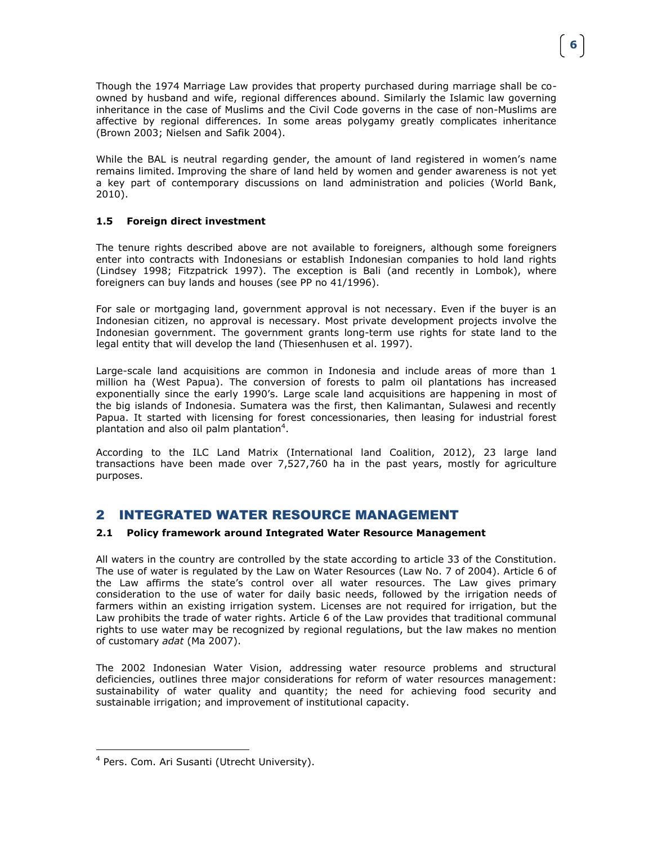Though the 1974 Marriage Law provides that property purchased during marriage shall be coowned by husband and wife, regional differences abound. Similarly the Islamic law governing inheritance in the case of Muslims and the Civil Code governs in the case of non-Muslims are affective by regional differences. In some areas polygamy greatly complicates inheritance (Brown 2003; Nielsen and Safik 2004).

While the BAL is neutral regarding gender, the amount of land registered in women's name remains limited. Improving the share of land held by women and gender awareness is not yet a key part of contemporary discussions on land administration and policies (World Bank, 2010).

#### <span id="page-5-0"></span>**1.5 Foreign direct investment**

The tenure rights described above are not available to foreigners, although some foreigners enter into contracts with Indonesians or establish Indonesian companies to hold land rights (Lindsey 1998; Fitzpatrick 1997). The exception is Bali (and recently in Lombok), where foreigners can buy lands and houses (see PP no 41/1996).

For sale or mortgaging land, government approval is not necessary. Even if the buyer is an Indonesian citizen, no approval is necessary. Most private development projects involve the Indonesian government. The government grants long-term use rights for state land to the legal entity that will develop the land (Thiesenhusen et al. 1997).

Large-scale land acquisitions are common in Indonesia and include areas of more than 1 million ha (West Papua). The conversion of forests to palm oil plantations has increased exponentially since the early 1990's. Large scale land acquisitions are happening in most of the big islands of Indonesia. Sumatera was the first, then Kalimantan, Sulawesi and recently Papua. It started with licensing for forest concessionaries, then leasing for industrial forest plantation and also oil palm plantation<sup>4</sup>.

According to the ILC Land Matrix (International land Coalition, 2012), 23 large land transactions have been made over 7,527,760 ha in the past years, mostly for agriculture purposes.

# <span id="page-5-1"></span>2 INTEGRATED WATER RESOURCE MANAGEMENT

#### <span id="page-5-2"></span>**2.1 Policy framework around Integrated Water Resource Management**

All waters in the country are controlled by the state according to article 33 of the Constitution. The use of water is regulated by the Law on Water Resources (Law No. 7 of 2004). Article 6 of the Law affirms the state's control over all water resources. The Law gives primary consideration to the use of water for daily basic needs, followed by the irrigation needs of farmers within an existing irrigation system. Licenses are not required for irrigation, but the Law prohibits the trade of water rights. Article 6 of the Law provides that traditional communal rights to use water may be recognized by regional regulations, but the law makes no mention of customary *adat* (Ma 2007).

The 2002 Indonesian Water Vision, addressing water resource problems and structural deficiencies, outlines three major considerations for reform of water resources management: sustainability of water quality and quantity; the need for achieving food security and sustainable irrigation; and improvement of institutional capacity.

 $\overline{a}$ 

<sup>4</sup> Pers. Com. Ari Susanti (Utrecht University).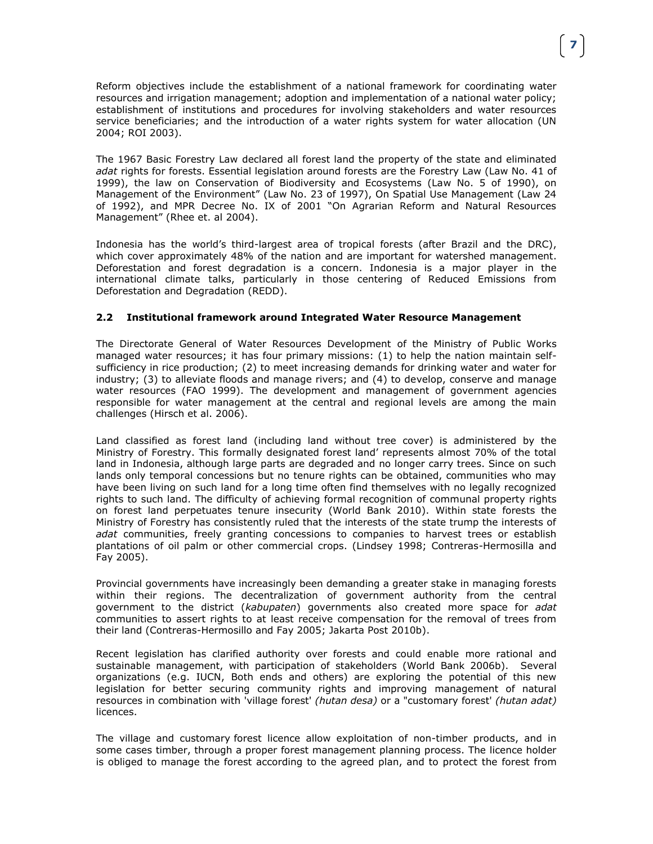The 1967 Basic Forestry Law declared all forest land the property of the state and eliminated *adat* rights for forests. Essential legislation around forests are the Forestry Law (Law No. 41 of 1999), the law on Conservation of Biodiversity and Ecosystems (Law No. 5 of 1990), on Management of the Environment" (Law No. 23 of 1997), On Spatial Use Management (Law 24 of 1992), and MPR Decree No. IX of 2001 "On Agrarian Reform and Natural Resources Management" (Rhee et. al 2004).

Indonesia has the world's third-largest area of tropical forests (after Brazil and the DRC), which cover approximately 48% of the nation and are important for watershed management. Deforestation and forest degradation is a concern. Indonesia is a major player in the international climate talks, particularly in those centering of Reduced Emissions from Deforestation and Degradation (REDD).

#### <span id="page-6-0"></span>**2.2 Institutional framework around Integrated Water Resource Management**

The Directorate General of Water Resources Development of the Ministry of Public Works managed water resources; it has four primary missions: (1) to help the nation maintain selfsufficiency in rice production; (2) to meet increasing demands for drinking water and water for industry; (3) to alleviate floods and manage rivers; and (4) to develop, conserve and manage water resources (FAO 1999). The development and management of government agencies responsible for water management at the central and regional levels are among the main challenges (Hirsch et al. 2006).

Land classified as forest land (including land without tree cover) is administered by the Ministry of Forestry. This formally designated forest land' represents almost 70% of the total land in Indonesia, although large parts are degraded and no longer carry trees. Since on such lands only temporal concessions but no tenure rights can be obtained, communities who may have been living on such land for a long time often find themselves with no legally recognized rights to such land. The difficulty of achieving formal recognition of communal property rights on forest land perpetuates tenure insecurity (World Bank 2010). Within state forests the Ministry of Forestry has consistently ruled that the interests of the state trump the interests of *adat* communities, freely granting concessions to companies to harvest trees or establish plantations of oil palm or other commercial crops. (Lindsey 1998; Contreras-Hermosilla and Fay 2005).

Provincial governments have increasingly been demanding a greater stake in managing forests within their regions. The decentralization of government authority from the central government to the district (*kabupaten*) governments also created more space for *adat* communities to assert rights to at least receive compensation for the removal of trees from their land (Contreras-Hermosillo and Fay 2005; Jakarta Post 2010b).

Recent legislation has clarified authority over forests and could enable more rational and sustainable management, with participation of stakeholders (World Bank 2006b). Several organizations (e.g. IUCN, Both ends and others) are exploring the potential of this new legislation for better securing community rights and improving management of natural resources in combination with 'village forest' *(hutan desa)* or a "customary forest' *(hutan adat)*  licences.

The village and customary forest licence allow exploitation of non-timber products, and in some cases timber, through a proper forest management planning process. The licence holder is obliged to manage the forest according to the agreed plan, and to protect the forest from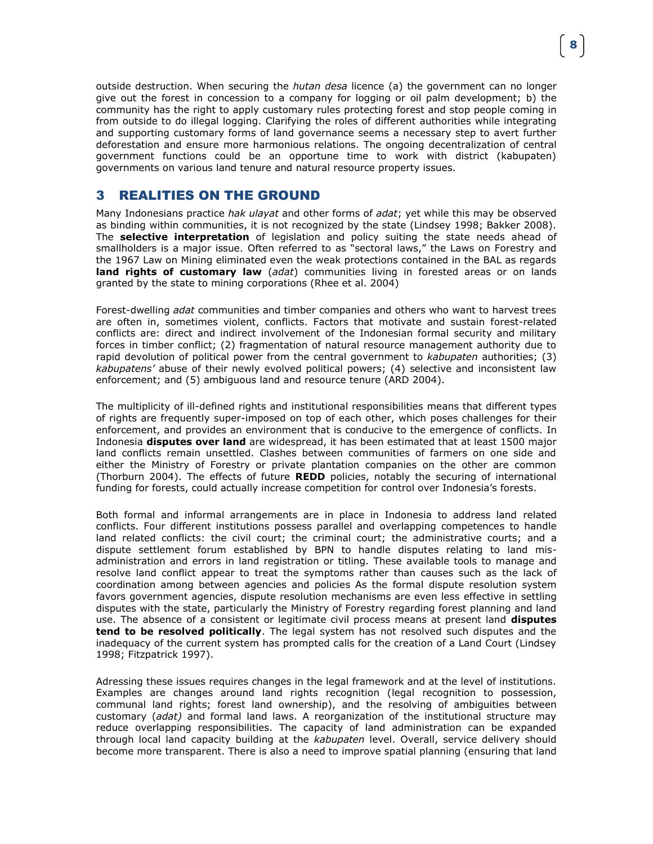outside destruction. When securing the *hutan desa* licence (a) the government can no longer give out the forest in concession to a company for logging or oil palm development; b) the community has the right to apply customary rules protecting forest and stop people coming in from outside to do illegal logging. Clarifying the roles of different authorities while integrating and supporting customary forms of land governance seems a necessary step to avert further deforestation and ensure more harmonious relations. The ongoing decentralization of central government functions could be an opportune time to work with district (kabupaten) governments on various land tenure and natural resource property issues.

### <span id="page-7-0"></span>3 REALITIES ON THE GROUND

Many Indonesians practice *hak ulayat* and other forms of *adat*; yet while this may be observed as binding within communities, it is not recognized by the state (Lindsey 1998; Bakker 2008). The **selective interpretation** of legislation and policy suiting the state needs ahead of smallholders is a major issue. Often referred to as "sectoral laws," the Laws on Forestry and the 1967 Law on Mining eliminated even the weak protections contained in the BAL as regards **land rights of customary law** (*adat*) communities living in forested areas or on lands granted by the state to mining corporations (Rhee et al. 2004)

Forest-dwelling *adat* communities and timber companies and others who want to harvest trees are often in, sometimes violent, conflicts. Factors that motivate and sustain forest-related conflicts are: direct and indirect involvement of the Indonesian formal security and military forces in timber conflict; (2) fragmentation of natural resource management authority due to rapid devolution of political power from the central government to *kabupaten* authorities; (3) *kabupatens'* abuse of their newly evolved political powers; (4) selective and inconsistent law enforcement; and (5) ambiguous land and resource tenure (ARD 2004).

The multiplicity of ill-defined rights and institutional responsibilities means that different types of rights are frequently super-imposed on top of each other, which poses challenges for their enforcement, and provides an environment that is conducive to the emergence of conflicts. In Indonesia **disputes over land** are widespread, it has been estimated that at least 1500 major land conflicts remain unsettled. Clashes between communities of farmers on one side and either the Ministry of Forestry or private plantation companies on the other are common (Thorburn 2004). The effects of future **REDD** policies, notably the securing of international funding for forests, could actually increase competition for control over Indonesia's forests.

Both formal and informal arrangements are in place in Indonesia to address land related conflicts. Four different institutions possess parallel and overlapping competences to handle land related conflicts: the civil court; the criminal court; the administrative courts; and a dispute settlement forum established by BPN to handle disputes relating to land misadministration and errors in land registration or titling. These available tools to manage and resolve land conflict appear to treat the symptoms rather than causes such as the lack of coordination among between agencies and policies As the formal dispute resolution system favors government agencies, dispute resolution mechanisms are even less effective in settling disputes with the state, particularly the Ministry of Forestry regarding forest planning and land use. The absence of a consistent or legitimate civil process means at present land **disputes tend to be resolved politically**. The legal system has not resolved such disputes and the inadequacy of the current system has prompted calls for the creation of a Land Court (Lindsey 1998; Fitzpatrick 1997).

Adressing these issues requires changes in the legal framework and at the level of institutions. Examples are changes around land rights recognition (legal recognition to possession, communal land rights; forest land ownership), and the resolving of ambiguities between customary (*adat)* and formal land laws. A reorganization of the institutional structure may reduce overlapping responsibilities. The capacity of land administration can be expanded through local land capacity building at the *kabupaten* level. Overall, service delivery should become more transparent. There is also a need to improve spatial planning (ensuring that land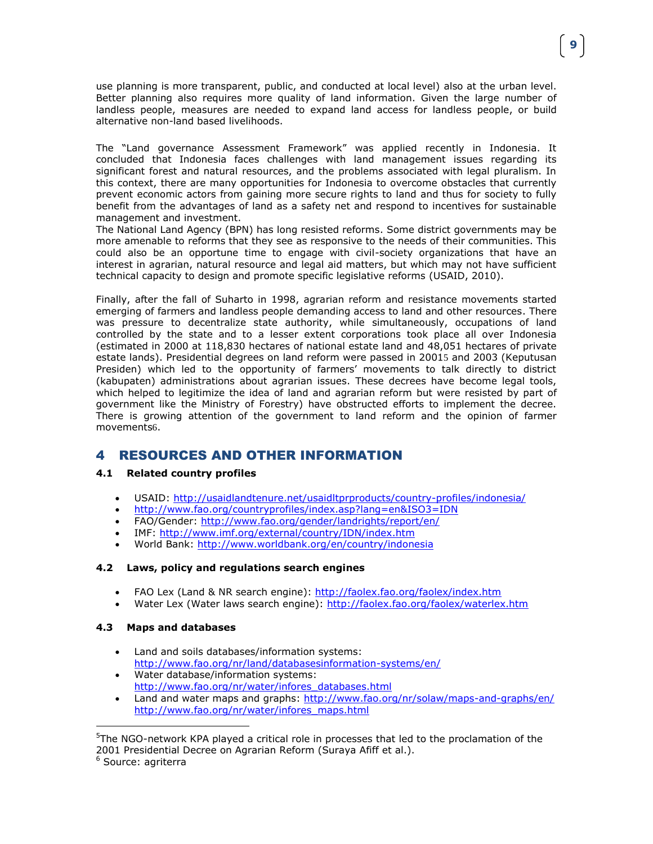use planning is more transparent, public, and conducted at local level) also at the urban level. Better planning also requires more quality of land information. Given the large number of landless people, measures are needed to expand land access for landless people, or build alternative non-land based livelihoods.

The "Land governance Assessment Framework" was applied recently in Indonesia. It concluded that Indonesia faces challenges with land management issues regarding its significant forest and natural resources, and the problems associated with legal pluralism. In this context, there are many opportunities for Indonesia to overcome obstacles that currently prevent economic actors from gaining more secure rights to land and thus for society to fully benefit from the advantages of land as a safety net and respond to incentives for sustainable management and investment.

The National Land Agency (BPN) has long resisted reforms. Some district governments may be more amenable to reforms that they see as responsive to the needs of their communities. This could also be an opportune time to engage with civil-society organizations that have an interest in agrarian, natural resource and legal aid matters, but which may not have sufficient technical capacity to design and promote specific legislative reforms (USAID, 2010).

Finally, after the fall of Suharto in 1998, agrarian reform and resistance movements started emerging of farmers and landless people demanding access to land and other resources. There was pressure to decentralize state authority, while simultaneously, occupations of land controlled by the state and to a lesser extent corporations took place all over Indonesia (estimated in 2000 at 118,830 hectares of national estate land and 48,051 hectares of private estate lands). Presidential degrees on land reform were passed in 20015 and 2003 (Keputusan Presiden) which led to the opportunity of farmers' movements to talk directly to district (kabupaten) administrations about agrarian issues. These decrees have become legal tools, which helped to legitimize the idea of land and agrarian reform but were resisted by part of government like the Ministry of Forestry) have obstructed efforts to implement the decree. There is growing attention of the government to land reform and the opinion of farmer movements6.

# <span id="page-8-0"></span>4 RESOURCES AND OTHER INFORMATION

#### <span id="page-8-1"></span>**4.1 Related country profiles**

- USAID:<http://usaidlandtenure.net/usaidltprproducts/country-profiles/indonesia/>
- <http://www.fao.org/countryprofiles/index.asp?lang=en&ISO3=IDN>
- FAO/Gender:<http://www.fao.org/gender/landrights/report/en/>
- IMF:<http://www.imf.org/external/country/IDN/index.htm>
- World Bank:<http://www.worldbank.org/en/country/indonesia>

#### <span id="page-8-2"></span>**4.2 Laws, policy and regulations search engines**

- FAO Lex (Land & NR search engine):<http://faolex.fao.org/faolex/index.htm>
- Water Lex (Water laws search engine):<http://faolex.fao.org/faolex/waterlex.htm>

#### <span id="page-8-3"></span>**4.3 Maps and databases**

- Land and soils databases/information systems: <http://www.fao.org/nr/land/databasesinformation-systems/en/>
- Water database/information systems: [http://www.fao.org/nr/water/infores\\_databases.html](http://www.fao.org/nr/water/infores_databases.html)
- Land and water maps and graphs:<http://www.fao.org/nr/solaw/maps-and-graphs/en/> [http://www.fao.org/nr/water/infores\\_maps.html](http://www.fao.org/nr/water/infores_maps.html)

 $\overline{a}$ 

<sup>&</sup>lt;sup>5</sup>The NGO-network KPA played a critical role in processes that led to the proclamation of the 2001 Presidential Decree on Agrarian Reform (Suraya Afiff et al.).

<sup>&</sup>lt;sup>6</sup> Source: agriterra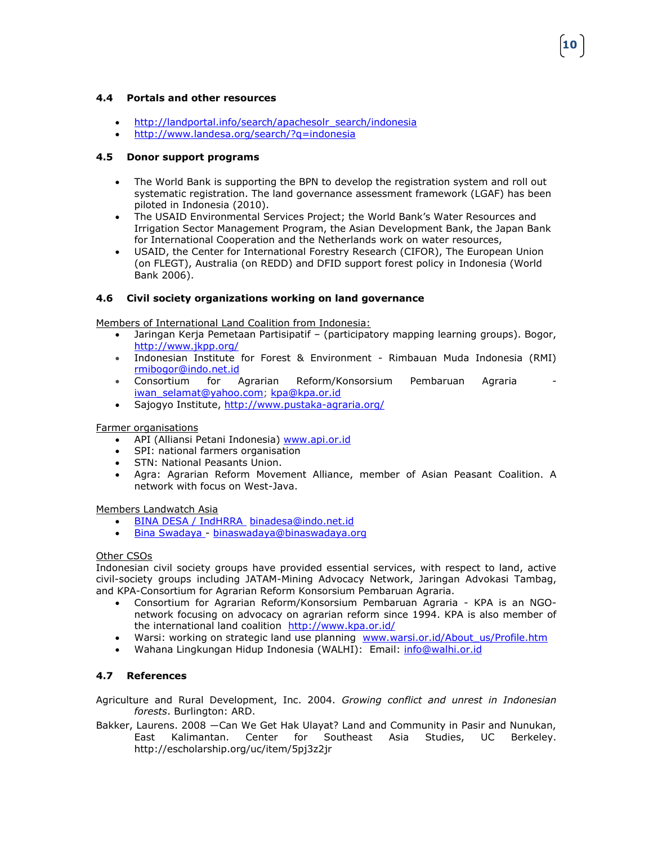#### <span id="page-9-0"></span>**4.4 Portals and other resources**

- http://landportal.info/search/apachesolr\_search/indonesia
- <http://www.landesa.org/search/?q=indonesia>

#### <span id="page-9-1"></span>**4.5 Donor support programs**

 The World Bank is supporting the BPN to develop the registration system and roll out systematic registration. The land governance assessment framework (LGAF) has been piloted in Indonesia (2010).

**10**

- The USAID Environmental Services Project; the World Bank's Water Resources and Irrigation Sector Management Program, the Asian Development Bank, the Japan Bank for International Cooperation and the Netherlands work on water resources,
- USAID, the Center for International Forestry Research (CIFOR), The European Union (on FLEGT), Australia (on REDD) and DFID support forest policy in Indonesia (World Bank 2006).

#### <span id="page-9-2"></span>**4.6 Civil society organizations working on land governance**

Members of International Land Coalition from Indonesia:

- [Jaringan Kerja Pemetaan Partisipatif](http://www.landcoalition.org/organizations/jkpp) (participatory mapping learning groups). Bogor, <http://www.jkpp.org/>
- [Indonesian Institute for Forest & Environment](http://www.landcoalition.org/organizations/rmi) Rimbauan Muda Indonesia (RMI) [rmibogor@indo.net.id](mailto:rmibogor@indo.net.id)
- [Consortium for Agrarian Reform/Konsorsium Pembaruan Agraria](http://www.landcoalition.org/organizations/kpa)  [iwan\\_selamat@yahoo.com;](mailto:iwan_selamat@yahoo.com) [kpa@kpa.or.id](mailto:kpa@kpa.or.id)
- [Sajogyo Institute,](http://www.landcoalition.org/organizations/sains)<http://www.pustaka-agraria.org/>

#### Farmer organisations

- API (Alliansi Petani Indonesia) [www.api.or.id](http://www.api.or.id/)
- SPI: national farmers organisation
- STN: National Peasants Union.
- Agra: Agrarian Reform Movement Alliance, member of Asian Peasant Coalition. A network with focus on West-Java.

Members Landwatch Asia

- [BINA DESA / IndHRRA](http://www.binadesa.or.id/) [binadesa@indo.net.id](mailto:binadesa@indo.net.id)
- [Bina Swadaya -](http://www.binaswadaya.org/) [binaswadaya@binaswadaya.org](mailto:binaswadaya@binaswadaya.org)

#### Other CSOs

Indonesian civil society groups have provided essential services, with respect to land, active civil-society groups including JATAM-Mining Advocacy Network, Jaringan Advokasi Tambag, and KPA-Consortium for Agrarian Reform Konsorsium Pembaruan Agraria.

- [Consortium for Agrarian Reform/Konsorsium Pembaruan Agraria](http://www.landcoalition.org/organizations/kpa) KPA is an NGOnetwork focusing on advocacy on agrarian reform since 1994. KPA is also member of the international land coalition http://www.kpa.or.id/
- Warsi: working on strategic land use planning www.warsi.or.id/About us/Profile.htm
- Wahana Lingkungan Hidup Indonesia (WALHI): Email: [info@walhi.or.id](mailto:info@walhi.or.id)

#### <span id="page-9-3"></span>**4.7 References**

- Agriculture and Rural Development, Inc. 2004. *Growing conflict and unrest in Indonesian forests*. Burlington: ARD.
- Bakker, Laurens. 2008 ―Can We Get Hak Ulayat? Land and Community in Pasir and Nunukan, East Kalimantan. Center for Southeast Asia Studies, UC Berkeley. http://escholarship.org/uc/item/5pj3z2jr